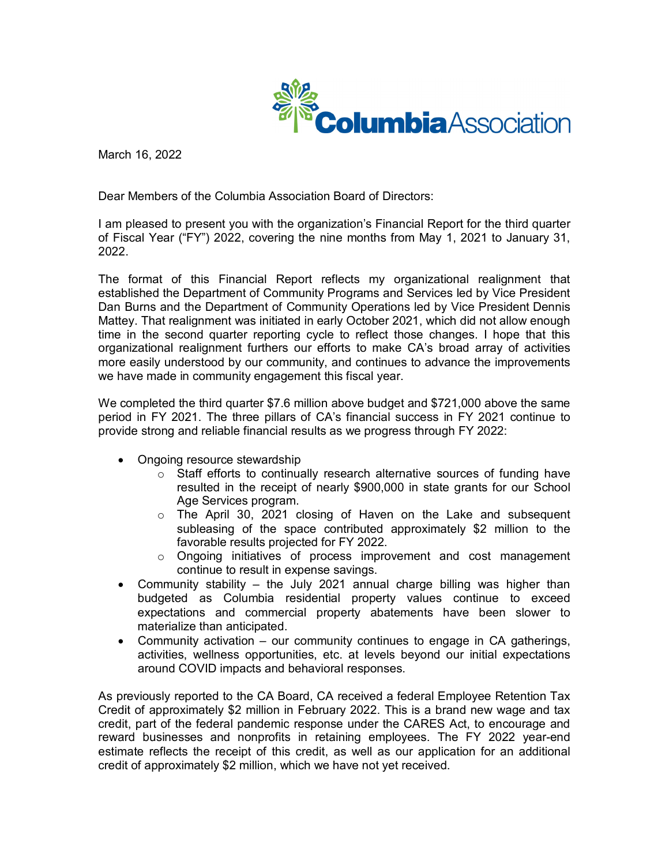

March 16, 2022

Dear Members of the Columbia Association Board of Directors:

I am pleased to present you with the organization's Financial Report for the third quarter of Fiscal Year ("FY") 2022, covering the nine months from May 1, 2021 to January 31, 2022.

The format of this Financial Report reflects my organizational realignment that established the Department of Community Programs and Services led by Vice President Dan Burns and the Department of Community Operations led by Vice President Dennis Mattey. That realignment was initiated in early October 2021, which did not allow enough time in the second quarter reporting cycle to reflect those changes. I hope that this organizational realignment furthers our efforts to make CA's broad array of activities more easily understood by our community, and continues to advance the improvements we have made in community engagement this fiscal year.

We completed the third quarter \$7.6 million above budget and \$721,000 above the same period in FY 2021. The three pillars of CA's financial success in FY 2021 continue to provide strong and reliable financial results as we progress through FY 2022:

- Ongoing resource stewardship
	- $\circ$  Staff efforts to continually research alternative sources of funding have resulted in the receipt of nearly \$900,000 in state grants for our School Age Services program.
	- $\circ$  The April 30, 2021 closing of Haven on the Lake and subsequent subleasing of the space contributed approximately \$2 million to the favorable results projected for FY 2022.
	- $\circ$  Ongoing initiatives of process improvement and cost management continue to result in expense savings.
- Community stability the July 2021 annual charge billing was higher than budgeted as Columbia residential property values continue to exceed expectations and commercial property abatements have been slower to materialize than anticipated.
- Community activation our community continues to engage in CA gatherings, activities, wellness opportunities, etc. at levels beyond our initial expectations around COVID impacts and behavioral responses.

As previously reported to the CA Board, CA received a federal Employee Retention Tax Credit of approximately \$2 million in February 2022. This is a brand new wage and tax credit, part of the federal pandemic response under the CARES Act, to encourage and reward businesses and nonprofits in retaining employees. The FY 2022 year-end estimate reflects the receipt of this credit, as well as our application for an additional credit of approximately \$2 million, which we have not yet received.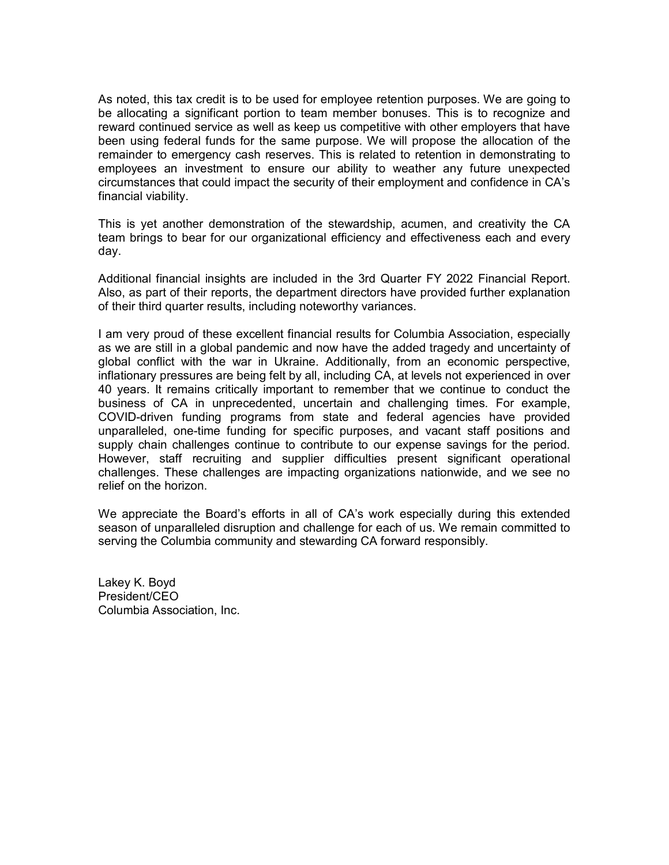As noted, this tax credit is to be used for employee retention purposes. We are going to be allocating a significant portion to team member bonuses. This is to recognize and reward continued service as well as keep us competitive with other employers that have been using federal funds for the same purpose. We will propose the allocation of the remainder to emergency cash reserves. This is related to retention in demonstrating to employees an investment to ensure our ability to weather any future unexpected circumstances that could impact the security of their employment and confidence in CA's financial viability.

This is yet another demonstration of the stewardship, acumen, and creativity the CA team brings to bear for our organizational efficiency and effectiveness each and every day.

Additional financial insights are included in the 3rd Quarter FY 2022 Financial Report. Also, as part of their reports, the department directors have provided further explanation of their third quarter results, including noteworthy variances.

I am very proud of these excellent financial results for Columbia Association, especially as we are still in a global pandemic and now have the added tragedy and uncertainty of global conflict with the war in Ukraine. Additionally, from an economic perspective, inflationary pressures are being felt by all, including CA, at levels not experienced in over 40 years. It remains critically important to remember that we continue to conduct the business of CA in unprecedented, uncertain and challenging times. For example, COVID-driven funding programs from state and federal agencies have provided unparalleled, one-time funding for specific purposes, and vacant staff positions and supply chain challenges continue to contribute to our expense savings for the period. However, staff recruiting and supplier difficulties present significant operational challenges. These challenges are impacting organizations nationwide, and we see no relief on the horizon.

We appreciate the Board's efforts in all of CA's work especially during this extended season of unparalleled disruption and challenge for each of us. We remain committed to serving the Columbia community and stewarding CA forward responsibly.

Lakey K. Boyd President/CEO Columbia Association, Inc.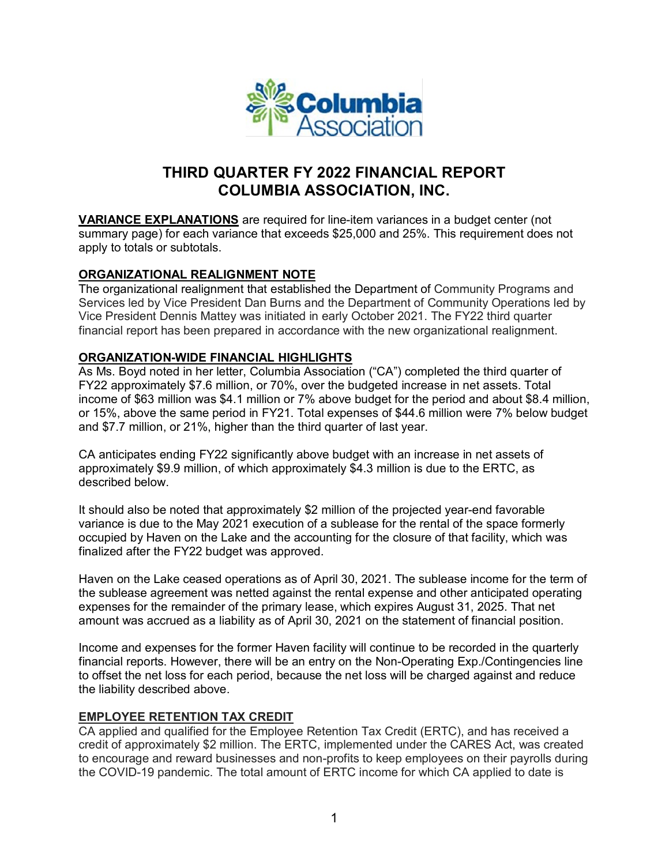

# **THIRD QUARTER FY 2022 FINANCIAL REPORT COLUMBIA ASSOCIATION, INC.**

**VARIANCE EXPLANATIONS** are required for line-item variances in a budget center (not summary page) for each variance that exceeds \$25,000 and 25%. This requirement does not apply to totals or subtotals.

## **ORGANIZATIONAL REALIGNMENT NOTE**

The organizational realignment that established the Department of Community Programs and Services led by Vice President Dan Burns and the Department of Community Operations led by Vice President Dennis Mattey was initiated in early October 2021. The FY22 third quarter financial report has been prepared in accordance with the new organizational realignment.

#### **ORGANIZATION-WIDE FINANCIAL HIGHLIGHTS**

As Ms. Boyd noted in her letter, Columbia Association ("CA") completed the third quarter of FY22 approximately \$7.6 million, or 70%, over the budgeted increase in net assets. Total income of \$63 million was \$4.1 million or 7% above budget for the period and about \$8.4 million, or 15%, above the same period in FY21. Total expenses of \$44.6 million were 7% below budget and \$7.7 million, or 21%, higher than the third quarter of last year.

CA anticipates ending FY22 significantly above budget with an increase in net assets of approximately \$9.9 million, of which approximately \$4.3 million is due to the ERTC, as described below.

It should also be noted that approximately \$2 million of the projected year-end favorable variance is due to the May 2021 execution of a sublease for the rental of the space formerly occupied by Haven on the Lake and the accounting for the closure of that facility, which was finalized after the FY22 budget was approved.

Haven on the Lake ceased operations as of April 30, 2021. The sublease income for the term of the sublease agreement was netted against the rental expense and other anticipated operating expenses for the remainder of the primary lease, which expires August 31, 2025. That net amount was accrued as a liability as of April 30, 2021 on the statement of financial position.

Income and expenses for the former Haven facility will continue to be recorded in the quarterly financial reports. However, there will be an entry on the Non-Operating Exp./Contingencies line to offset the net loss for each period, because the net loss will be charged against and reduce the liability described above.

#### **EMPLOYEE RETENTION TAX CREDIT**

CA applied and qualified for the Employee Retention Tax Credit (ERTC), and has received a credit of approximately \$2 million. The ERTC, implemented under the CARES Act, was created to encourage and reward businesses and non-profits to keep employees on their payrolls during the COVID-19 pandemic. The total amount of ERTC income for which CA applied to date is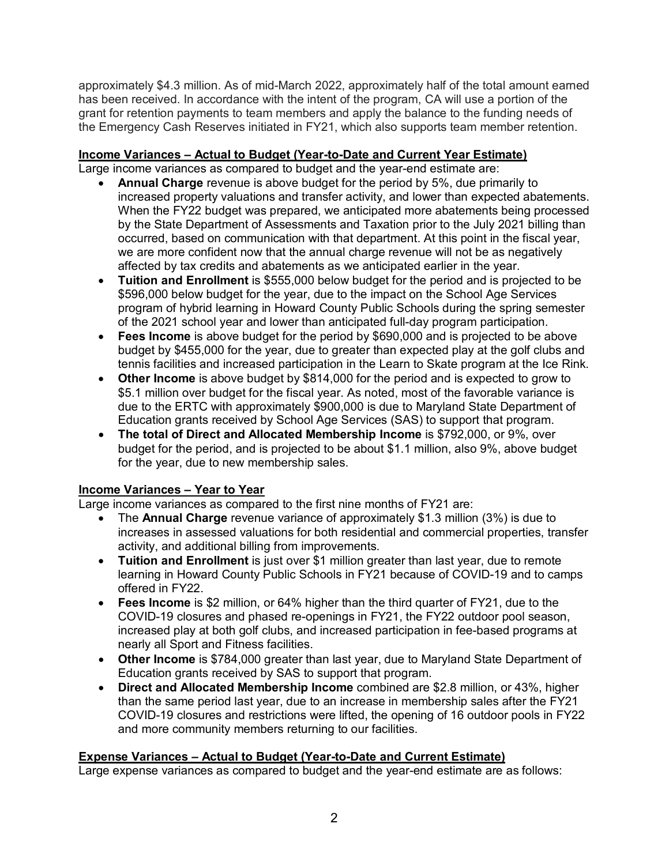approximately \$4.3 million. As of mid-March 2022, approximately half of the total amount earned has been received. In accordance with the intent of the program, CA will use a portion of the grant for retention payments to team members and apply the balance to the funding needs of the Emergency Cash Reserves initiated in FY21, which also supports team member retention.

## **Income Variances – Actual to Budget (Year-to-Date and Current Year Estimate)**

Large income variances as compared to budget and the year-end estimate are:

- **Annual Charge** revenue is above budget for the period by 5%, due primarily to increased property valuations and transfer activity, and lower than expected abatements. When the FY22 budget was prepared, we anticipated more abatements being processed by the State Department of Assessments and Taxation prior to the July 2021 billing than occurred, based on communication with that department. At this point in the fiscal year, we are more confident now that the annual charge revenue will not be as negatively affected by tax credits and abatements as we anticipated earlier in the year.
- **Tuition and Enrollment** is \$555,000 below budget for the period and is projected to be \$596,000 below budget for the year, due to the impact on the School Age Services program of hybrid learning in Howard County Public Schools during the spring semester of the 2021 school year and lower than anticipated full-day program participation.
- **Fees Income** is above budget for the period by \$690,000 and is projected to be above budget by \$455,000 for the year, due to greater than expected play at the golf clubs and tennis facilities and increased participation in the Learn to Skate program at the Ice Rink.
- **Other Income** is above budget by \$814,000 for the period and is expected to grow to \$5.1 million over budget for the fiscal year. As noted, most of the favorable variance is due to the ERTC with approximately \$900,000 is due to Maryland State Department of Education grants received by School Age Services (SAS) to support that program.
- **The total of Direct and Allocated Membership Income** is \$792,000, or 9%, over budget for the period, and is projected to be about \$1.1 million, also 9%, above budget for the year, due to new membership sales.

# **Income Variances – Year to Year**

Large income variances as compared to the first nine months of FY21 are:

- The **Annual Charge** revenue variance of approximately \$1.3 million (3%) is due to increases in assessed valuations for both residential and commercial properties, transfer activity, and additional billing from improvements.
- **Tuition and Enrollment** is just over \$1 million greater than last year, due to remote learning in Howard County Public Schools in FY21 because of COVID-19 and to camps offered in FY22.
- **Fees Income** is \$2 million, or 64% higher than the third quarter of FY21, due to the COVID-19 closures and phased re-openings in FY21, the FY22 outdoor pool season, increased play at both golf clubs, and increased participation in fee-based programs at nearly all Sport and Fitness facilities.
- **Other Income** is \$784,000 greater than last year, due to Maryland State Department of Education grants received by SAS to support that program.
- **Direct and Allocated Membership Income** combined are \$2.8 million, or 43%, higher than the same period last year, due to an increase in membership sales after the FY21 COVID-19 closures and restrictions were lifted, the opening of 16 outdoor pools in FY22 and more community members returning to our facilities.

### **Expense Variances – Actual to Budget (Year-to-Date and Current Estimate)**

Large expense variances as compared to budget and the year-end estimate are as follows: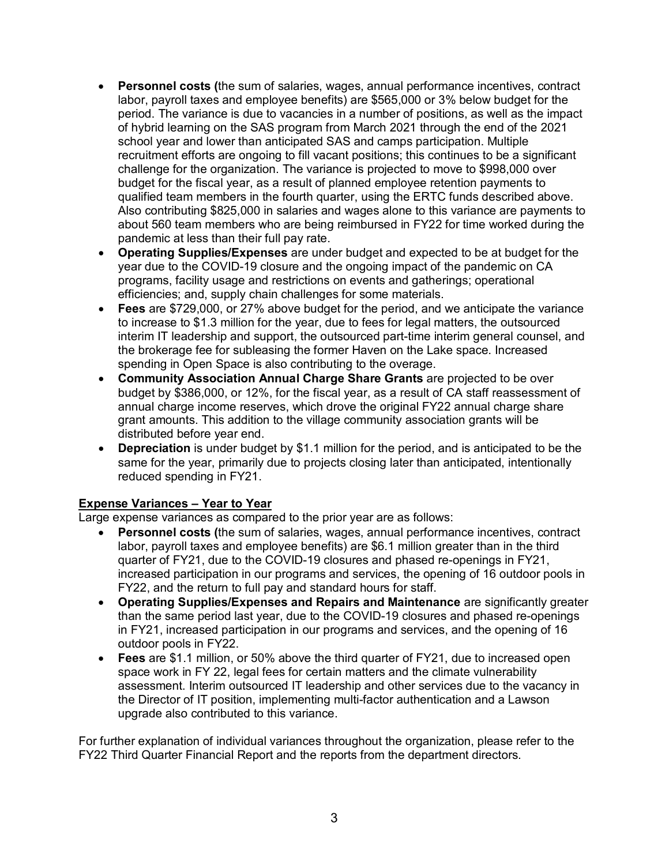- **Personnel costs (**the sum of salaries, wages, annual performance incentives, contract labor, payroll taxes and employee benefits) are \$565,000 or 3% below budget for the period. The variance is due to vacancies in a number of positions, as well as the impact of hybrid learning on the SAS program from March 2021 through the end of the 2021 school year and lower than anticipated SAS and camps participation. Multiple recruitment efforts are ongoing to fill vacant positions; this continues to be a significant challenge for the organization. The variance is projected to move to \$998,000 over budget for the fiscal year, as a result of planned employee retention payments to qualified team members in the fourth quarter, using the ERTC funds described above. Also contributing \$825,000 in salaries and wages alone to this variance are payments to about 560 team members who are being reimbursed in FY22 for time worked during the pandemic at less than their full pay rate.
- **Operating Supplies/Expenses** are under budget and expected to be at budget for the year due to the COVID-19 closure and the ongoing impact of the pandemic on CA programs, facility usage and restrictions on events and gatherings; operational efficiencies; and, supply chain challenges for some materials.
- **Fees** are \$729,000, or 27% above budget for the period, and we anticipate the variance to increase to \$1.3 million for the year, due to fees for legal matters, the outsourced interim IT leadership and support, the outsourced part-time interim general counsel, and the brokerage fee for subleasing the former Haven on the Lake space. Increased spending in Open Space is also contributing to the overage.
- **Community Association Annual Charge Share Grants** are projected to be over budget by \$386,000, or 12%, for the fiscal year, as a result of CA staff reassessment of annual charge income reserves, which drove the original FY22 annual charge share grant amounts. This addition to the village community association grants will be distributed before year end.
- **Depreciation** is under budget by \$1.1 million for the period, and is anticipated to be the same for the year, primarily due to projects closing later than anticipated, intentionally reduced spending in FY21.

# **Expense Variances – Year to Year**

Large expense variances as compared to the prior year are as follows:

- **Personnel costs (**the sum of salaries, wages, annual performance incentives, contract labor, payroll taxes and employee benefits) are \$6.1 million greater than in the third quarter of FY21, due to the COVID-19 closures and phased re-openings in FY21, increased participation in our programs and services, the opening of 16 outdoor pools in FY22, and the return to full pay and standard hours for staff.
- **Operating Supplies/Expenses and Repairs and Maintenance** are significantly greater than the same period last year, due to the COVID-19 closures and phased re-openings in FY21, increased participation in our programs and services, and the opening of 16 outdoor pools in FY22.
- **Fees** are \$1.1 million, or 50% above the third quarter of FY21, due to increased open space work in FY 22, legal fees for certain matters and the climate vulnerability assessment. Interim outsourced IT leadership and other services due to the vacancy in the Director of IT position, implementing multi-factor authentication and a Lawson upgrade also contributed to this variance.

For further explanation of individual variances throughout the organization, please refer to the FY22 Third Quarter Financial Report and the reports from the department directors.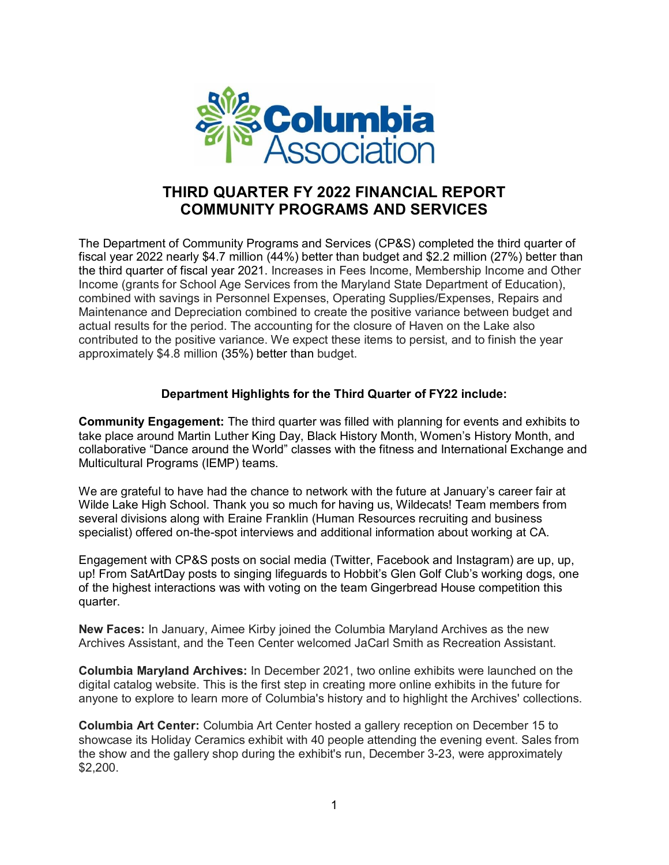

# **THIRD QUARTER FY 2022 FINANCIAL REPORT COMMUNITY PROGRAMS AND SERVICES**

The Department of Community Programs and Services (CP&S) completed the third quarter of fiscal year 2022 nearly \$4.7 million (44%) better than budget and \$2.2 million (27%) better than the third quarter of fiscal year 2021. Increases in Fees Income, Membership Income and Other Income (grants for School Age Services from the Maryland State Department of Education), combined with savings in Personnel Expenses, Operating Supplies/Expenses, Repairs and Maintenance and Depreciation combined to create the positive variance between budget and actual results for the period. The accounting for the closure of Haven on the Lake also contributed to the positive variance. We expect these items to persist, and to finish the year approximately \$4.8 million (35%) better than budget.

## **Department Highlights for the Third Quarter of FY22 include:**

**Community Engagement:** The third quarter was filled with planning for events and exhibits to take place around Martin Luther King Day, Black History Month, Women's History Month, and collaborative "Dance around the World" classes with the fitness and International Exchange and Multicultural Programs (IEMP) teams.

We are grateful to have had the chance to network with the future at January's career fair a[t](https://www.facebook.com/Wilde-Lake-High-School-113407158670071/?__cft__%5b0%5d=AZU2bdX6cEPiOooyp2rapDRgEUk6VrotJoX2DZqWPBY18U-hlKxdKdo06eqSCD1vBRR-0g2pgRngBwyBFFy4da1Xz-XIXQBOGTNcQBv6O7Y558kcMpgYH_Kvlv3HtW0AoyE97YGPT-buDvhX1JpmA_mJ&__tn__=kK-R) [Wilde Lake High School.](https://www.facebook.com/Wilde-Lake-High-School-113407158670071/?__cft__%5b0%5d=AZU2bdX6cEPiOooyp2rapDRgEUk6VrotJoX2DZqWPBY18U-hlKxdKdo06eqSCD1vBRR-0g2pgRngBwyBFFy4da1Xz-XIXQBOGTNcQBv6O7Y558kcMpgYH_Kvlv3HtW0AoyE97YGPT-buDvhX1JpmA_mJ&__tn__=kK-R) Thank you so much for having us, Wildecats! Team members from several divisions along with Eraine Franklin (Human Resources recruiting and business specialist) offered on-the-spot interviews and additional information about working at CA.

Engagement with CP&S posts on social media (Twitter, Facebook and Instagram) are up, up, up! From SatArtDay posts to singing lifeguards to Hobbit's Glen Golf Club's working dogs, one of the highest interactions was with voting on the team Gingerbread House competition this quarter.

**New Faces:** In January, Aimee Kirby joined the Columbia Maryland Archives as the new Archives Assistant, and the Teen Center welcomed JaCarl Smith as Recreation Assistant.

**Columbia Maryland Archives:** In December 2021, two online exhibits were launched on the digital catalog website. This is the first step in creating more online exhibits in the future for anyone to explore to learn more of Columbia's history and to highlight the Archives' collections.

**Columbia Art Center:** Columbia Art Center hosted a gallery reception on December 15 to showcase its Holiday Ceramics exhibit with 40 people attending the evening event. Sales from the show and the gallery shop during the exhibit's run, December 3-23, were approximately \$2,200.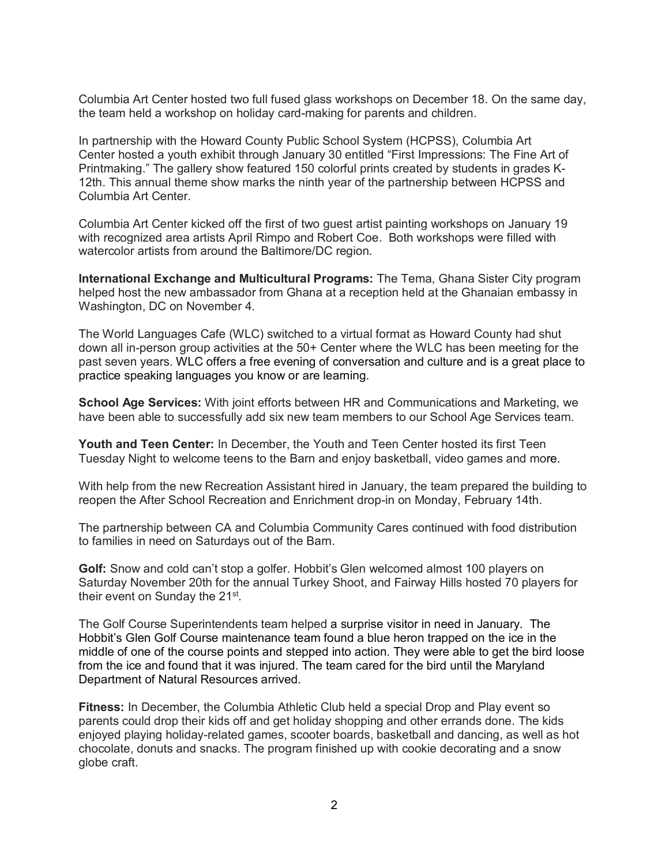Columbia Art Center hosted two full fused glass workshops on December 18. On the same day, the team held a workshop on holiday card-making for parents and children.

In partnership with the Howard County Public School System (HCPSS), Columbia Art Center hosted a youth exhibit through January 30 entitled "First Impressions: The Fine Art of Printmaking." The gallery show featured 150 colorful prints created by students in grades K-12th. This annual theme show marks the ninth year of the partnership between HCPSS and Columbia Art Center.

Columbia Art Center kicked off the first of two guest artist painting workshops on January 19 with recognized area artists April Rimpo and Robert Coe. Both workshops were filled with watercolor artists from around the Baltimore/DC region.

**International Exchange and Multicultural Programs:** The Tema, Ghana Sister City program helped host the new ambassador from Ghana at a reception held at the Ghanaian embassy in Washington, DC on November 4.

The World Languages Cafe (WLC) switched to a virtual format as Howard County had shut down all in-person group activities at the 50+ Center where the WLC has been meeting for the past seven years. WLC offers a free evening of conversation and culture and is a great place to practice speaking languages you know or are learning.

**School Age Services:** With joint efforts between HR and Communications and Marketing, we have been able to successfully add six new team members to our School Age Services team.

**Youth and Teen Center:** In December, the Youth and Teen Center hosted its first Teen Tuesday Night to welcome teens to the Barn and enjoy basketball, video games and more.

With help from the new Recreation Assistant hired in January, the team prepared the building to reopen the After School Recreation and Enrichment drop-in on Monday, February 14th.

The partnership between CA and Columbia Community Cares continued with food distribution to families in need on Saturdays out of the Barn.

**Golf:** Snow and cold can't stop a golfer. Hobbit's Glen welcomed almost 100 players on Saturday November 20th for the annual Turkey Shoot, and Fairway Hills hosted 70 players for their event on Sunday the 21<sup>st</sup>.

The Golf Course Superintendents team helped a surprise visitor in need in January. The Hobbit's Glen Golf Course maintenance team found a blue heron trapped on the ice in the middle of one of the course points and stepped into action. They were able to get the bird loose from the ice and found that it was injured. The team cared for the bird until the Maryland Department of Natural Resources arrived.

**Fitness:** In December, the Columbia Athletic Club held a special Drop and Play event so parents could drop their kids off and get holiday shopping and other errands done. The kids enjoyed playing holiday-related games, scooter boards, basketball and dancing, as well as hot chocolate, donuts and snacks. The program finished up with cookie decorating and a snow globe craft.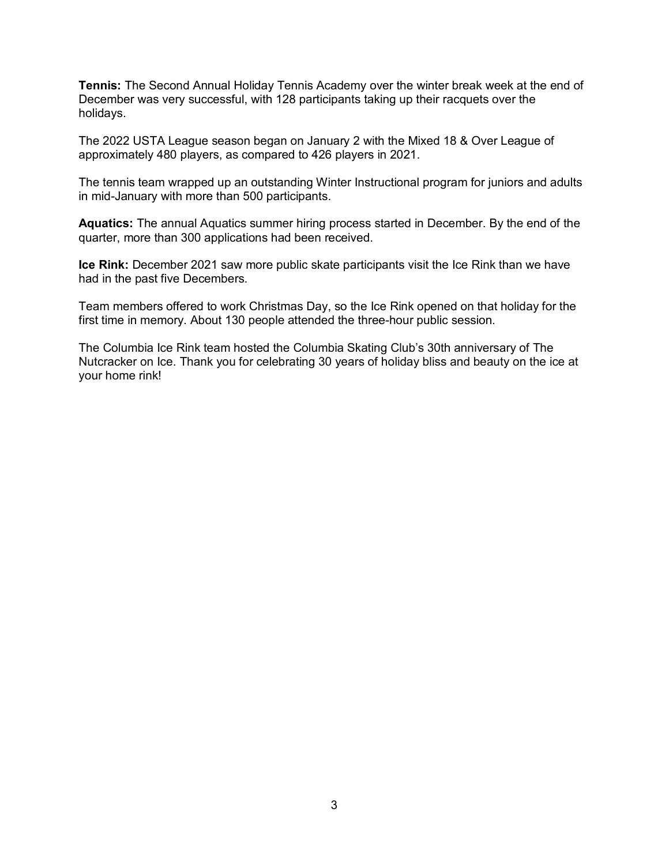**Tennis:** The Second Annual Holiday Tennis Academy over the winter break week at the end of December was very successful, with 128 participants taking up their racquets over the holidays.

The 2022 USTA League season began on January 2 with the Mixed 18 & Over League of approximately 480 players, as compared to 426 players in 2021.

The tennis team wrapped up an outstanding Winter Instructional program for juniors and adults in mid-January with more than 500 participants.

**Aquatics:** The annual Aquatics summer hiring process started in December. By the end of the quarter, more than 300 applications had been received.

**Ice Rink:** December 2021 saw more public skate participants visit the Ice Rink than we have had in the past five Decembers.

Team members offered to work Christmas Day, so the Ice Rink opened on that holiday for the first time in memory. About 130 people attended the three-hour public session.

The Columbia Ice Rink team hosted the Columbia Skating Club's 30th anniversary of The Nutcracker on Ice. Thank you for celebrating 30 years of holiday bliss and beauty on the ice at your home rink!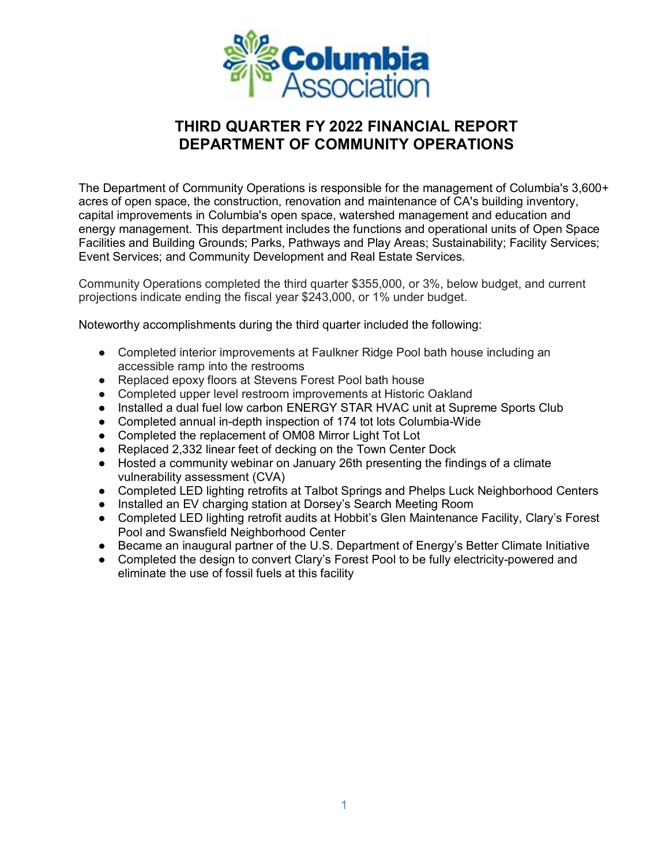

# **THIRD QUARTER FY 2022 FINANCIAL REPORT DEPARTMENT OF COMMUNITY OPERATIONS**

The Department of Community Operations is responsible for the management of Columbia's 3,600+ acres of open space, the construction, renovation and maintenance of CA's building inventory, capital improvements in Columbia's open space, watershed management and education and energy management. This department includes the functions and operational units of Open Space Facilities and Building Grounds; Parks, Pathways and Play Areas; Sustainability; Facility Services; Event Services; and Community Development and Real Estate Services.

Community Operations completed the third quarter \$355,000, or 3%, below budget, and current projections indicate ending the fiscal year \$243,000, or 1% under budget.

Noteworthy accomplishments during the third quarter included the following:

- Completed interior improvements at Faulkner Ridge Pool bath house including an accessible ramp into the restrooms
- Replaced epoxy floors at Stevens Forest Pool bath house
- Completed upper level restroom improvements at Historic Oakland
- Installed a dual fuel low carbon ENERGY STAR HVAC unit at Supreme Sports Club
- Completed annual in-depth inspection of 174 tot lots Columbia-Wide
- Completed the replacement of OM08 Mirror Light Tot Lot
- Replaced 2,332 linear feet of decking on the Town Center Dock
- Hosted a community webinar on January 26th presenting the findings of a climate vulnerability assessment (CVA)
- Completed LED lighting retrofits at Talbot Springs and Phelps Luck Neighborhood Centers
- Installed an EV charging station at Dorsey's Search Meeting Room
- Completed LED lighting retrofit audits at Hobbit's Glen Maintenance Facility, Clary's Forest Pool and Swansfield Neighborhood Center
- Became an inaugural partner of the U.S. Department of Energy's Better Climate Initiative
- Completed the design to convert Clary's Forest Pool to be fully electricity-powered and eliminate the use of fossil fuels at this facility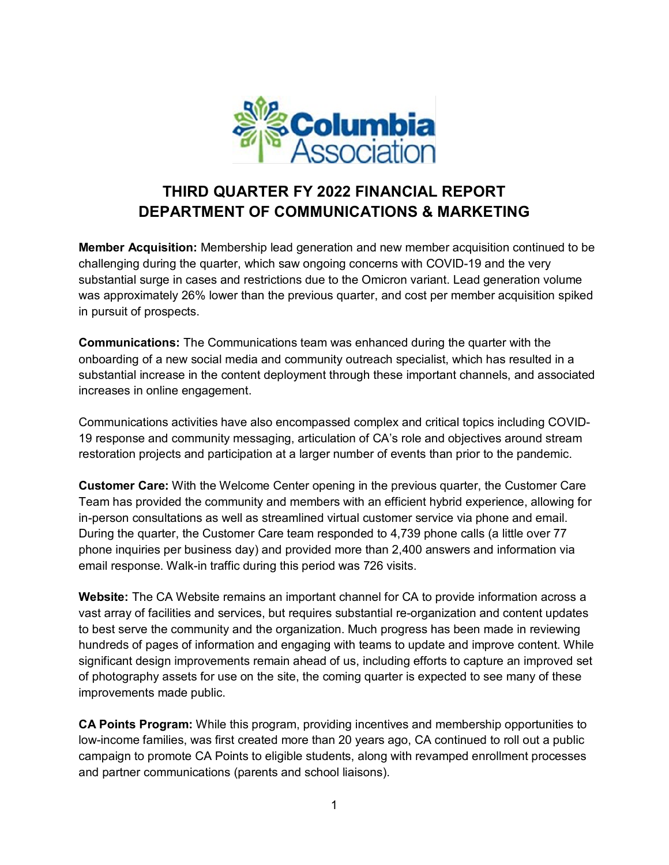

# **THIRD QUARTER FY 2022 FINANCIAL REPORT DEPARTMENT OF COMMUNICATIONS & MARKETING**

**Member Acquisition:** Membership lead generation and new member acquisition continued to be challenging during the quarter, which saw ongoing concerns with COVID-19 and the very substantial surge in cases and restrictions due to the Omicron variant. Lead generation volume was approximately 26% lower than the previous quarter, and cost per member acquisition spiked in pursuit of prospects.

**Communications:** The Communications team was enhanced during the quarter with the onboarding of a new social media and community outreach specialist, which has resulted in a substantial increase in the content deployment through these important channels, and associated increases in online engagement.

Communications activities have also encompassed complex and critical topics including COVID-19 response and community messaging, articulation of CA's role and objectives around stream restoration projects and participation at a larger number of events than prior to the pandemic.

**Customer Care:** With the Welcome Center opening in the previous quarter, the Customer Care Team has provided the community and members with an efficient hybrid experience, allowing for in-person consultations as well as streamlined virtual customer service via phone and email. During the quarter, the Customer Care team responded to 4,739 phone calls (a little over 77 phone inquiries per business day) and provided more than 2,400 answers and information via email response. Walk-in traffic during this period was 726 visits.

**Website:** The CA Website remains an important channel for CA to provide information across a vast array of facilities and services, but requires substantial re-organization and content updates to best serve the community and the organization. Much progress has been made in reviewing hundreds of pages of information and engaging with teams to update and improve content. While significant design improvements remain ahead of us, including efforts to capture an improved set of photography assets for use on the site, the coming quarter is expected to see many of these improvements made public.

**CA Points Program:** While this program, providing incentives and membership opportunities to low-income families, was first created more than 20 years ago, CA continued to roll out a public campaign to promote CA Points to eligible students, along with revamped enrollment processes and partner communications (parents and school liaisons).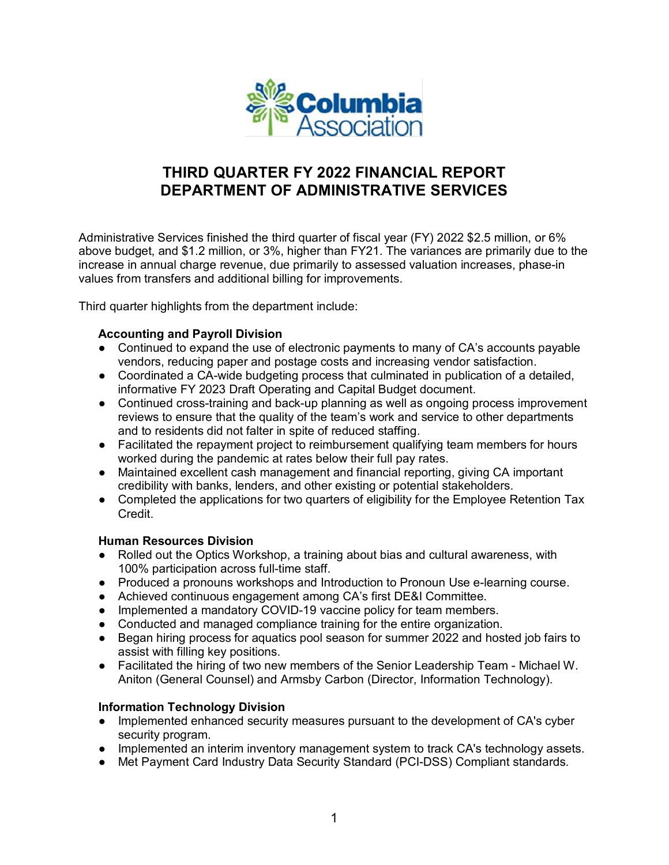

# **THIRD QUARTER FY 2022 FINANCIAL REPORT DEPARTMENT OF ADMINISTRATIVE SERVICES**

Administrative Services finished the third quarter of fiscal year (FY) 2022 \$2.5 million, or 6% above budget, and \$1.2 million, or 3%, higher than FY21. The variances are primarily due to the increase in annual charge revenue, due primarily to assessed valuation increases, phase-in values from transfers and additional billing for improvements.

Third quarter highlights from the department include:

#### **Accounting and Payroll Division**

- Continued to expand the use of electronic payments to many of CA's accounts payable vendors, reducing paper and postage costs and increasing vendor satisfaction.
- Coordinated a CA-wide budgeting process that culminated in publication of a detailed, informative FY 2023 Draft Operating and Capital Budget document.
- Continued cross-training and back-up planning as well as ongoing process improvement reviews to ensure that the quality of the team's work and service to other departments and to residents did not falter in spite of reduced staffing.
- Facilitated the repayment project to reimbursement qualifying team members for hours worked during the pandemic at rates below their full pay rates.
- Maintained excellent cash management and financial reporting, giving CA important credibility with banks, lenders, and other existing or potential stakeholders.
- Completed the applications for two quarters of eligibility for the Employee Retention Tax Credit.

#### **Human Resources Division**

- Rolled out the Optics Workshop, a training about bias and cultural awareness, with 100% participation across full-time staff.
- Produced a pronouns workshops and Introduction to Pronoun Use e-learning course.
- Achieved continuous engagement among CA's first DE&I Committee.
- Implemented a mandatory COVID-19 vaccine policy for team members.
- Conducted and managed compliance training for the entire organization.
- Began hiring process for aquatics pool season for summer 2022 and hosted job fairs to assist with filling key positions.
- Facilitated the hiring of two new members of the Senior Leadership Team Michael W. Aniton (General Counsel) and Armsby Carbon (Director, Information Technology).

#### **Information Technology Division**

- Implemented enhanced security measures pursuant to the development of CA's cyber security program.
- Implemented an interim inventory management system to track CA's technology assets.
- Met Payment Card Industry Data Security Standard (PCI-DSS) Compliant standards.